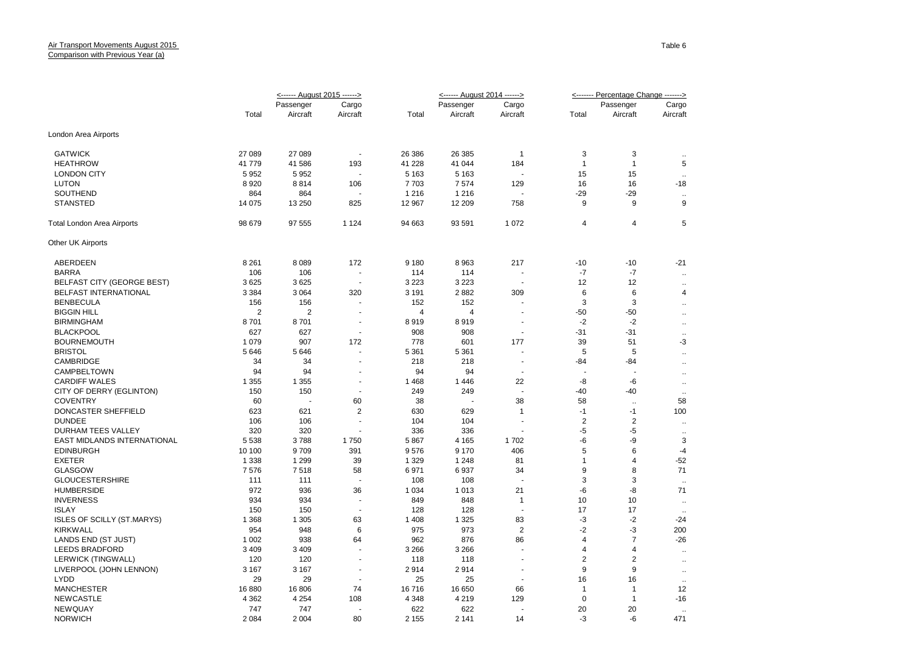|                                   | <------ August 2015 ------> |                |                          |                | <------ August 2014 ------> |                          | <------- Percentage Change -------> |                         |                      |
|-----------------------------------|-----------------------------|----------------|--------------------------|----------------|-----------------------------|--------------------------|-------------------------------------|-------------------------|----------------------|
|                                   |                             | Passenger      | Cargo                    |                | Passenger                   | Cargo                    |                                     | Passenger               | Cargo                |
|                                   | Total                       | Aircraft       | Aircraft                 | Total          | Aircraft                    | Aircraft                 | Total                               | Aircraft                | Aircraft             |
| London Area Airports              |                             |                |                          |                |                             |                          |                                     |                         |                      |
| <b>GATWICK</b>                    | 27 089                      | 27 089         | $\tilde{\phantom{a}}$    | 26 38 6        | 26 385                      | $\overline{1}$           | 3                                   | 3                       | $\ddotsc$            |
| <b>HEATHROW</b>                   | 41 779                      | 41 586         | 193                      | 41 228         | 41 044                      | 184                      | $\overline{1}$                      | $\overline{1}$          | 5                    |
| <b>LONDON CITY</b>                | 5952                        | 5952           |                          | 5 1 6 3        | 5 1 6 3                     | $\overline{\phantom{a}}$ | 15                                  | 15                      | $\ddotsc$            |
| <b>LUTON</b>                      | 8920                        | 8814           | 106                      | 7703           | 7574                        | 129                      | 16                                  | 16                      | $-18$                |
| SOUTHEND                          | 864                         | 864            |                          | 1 2 1 6        | 1 2 1 6                     |                          | $-29$                               | $-29$                   | $\ddotsc$            |
| <b>STANSTED</b>                   | 14 075                      | 13 250         | 825                      | 12 967         | 12 209                      | 758                      | 9                                   | 9                       | 9                    |
| <b>Total London Area Airports</b> | 98 679                      | 97 555         | 1 1 2 4                  | 94 663         | 93 591                      | 1 0 7 2                  | 4                                   | 4                       | 5                    |
| Other UK Airports                 |                             |                |                          |                |                             |                          |                                     |                         |                      |
| ABERDEEN                          | 8 2 6 1                     | 8 0 8 9        | 172                      | 9 1 8 0        | 8 9 6 3                     | 217                      | $-10$                               | $-10$                   | $-21$                |
| <b>BARRA</b>                      | 106                         | 106            |                          | 114            | 114                         | $\blacksquare$           | $-7$                                | $-7$                    | $\ddot{\phantom{a}}$ |
| <b>BELFAST CITY (GEORGE BEST)</b> | 3625                        | 3625           | $\overline{a}$           | 3 2 2 3        | 3 2 2 3                     | $\overline{a}$           | 12                                  | 12                      | $\ddot{\phantom{a}}$ |
| BELFAST INTERNATIONAL             | 3 3 8 4                     | 3 0 6 4        | 320                      | 3 1 9 1        | 2882                        | 309                      | 6                                   | 6                       | $\overline{4}$       |
| <b>BENBECULA</b>                  | 156                         | 156            |                          | 152            | 152                         |                          | 3                                   | 3                       | $\ddot{\phantom{a}}$ |
| <b>BIGGIN HILL</b>                | $\overline{2}$              | $\overline{2}$ |                          | $\overline{4}$ | $\overline{4}$              | $\overline{\phantom{a}}$ | $-50$                               | $-50$                   | $\ddotsc$            |
| <b>BIRMINGHAM</b>                 | 8701                        | 8701           | $\blacksquare$           | 8919           | 8919                        | $\overline{\phantom{a}}$ | $-2$                                | $-2$                    | $\ddotsc$            |
| <b>BLACKPOOL</b>                  | 627                         | 627            | ä,                       | 908            | 908                         | $\sim$                   | $-31$                               | $-31$                   | $\ddotsc$            |
| <b>BOURNEMOUTH</b>                | 1 0 7 9                     | 907            | 172                      | 778            | 601                         | 177                      | 39                                  | 51                      | -3                   |
| <b>BRISTOL</b>                    | 5646                        | 5646           | ä,                       | 5 3 6 1        | 5 3 6 1                     | ÷,                       | 5                                   | 5                       | $\ddotsc$            |
| CAMBRIDGE                         | 34                          | 34             |                          | 218            | 218                         | $\blacksquare$           | $-84$                               | -84                     | $\ddot{\phantom{a}}$ |
| CAMPBELTOWN                       | 94                          | 94             |                          | 94             | 94                          | $\overline{\phantom{a}}$ |                                     |                         | $\ddotsc$            |
| <b>CARDIFF WALES</b>              | 1 3 5 5                     | 1 3 5 5        | $\blacksquare$           | 1468           | 1446                        | 22                       | -8                                  | -6                      | $\ddot{\phantom{a}}$ |
| CITY OF DERRY (EGLINTON)          | 150                         | 150            | $\overline{a}$           | 249            | 249                         | $\overline{a}$           | $-40$                               | -40                     | $\ddotsc$            |
| <b>COVENTRY</b>                   | 60                          |                | 60                       | 38             |                             | 38                       | 58                                  | $\ddotsc$               | 58                   |
| DONCASTER SHEFFIELD               | 623                         | 621            | $\overline{2}$           | 630            | 629                         | $\mathbf{1}$             | $-1$                                | $-1$                    | 100                  |
| <b>DUNDEE</b>                     | 106                         | 106            | $\overline{\phantom{a}}$ | 104            | 104                         | $\overline{\phantom{a}}$ | $\overline{2}$                      | $\overline{\mathbf{c}}$ | $\ddotsc$            |
| <b>DURHAM TEES VALLEY</b>         | 320                         | 320            |                          | 336            | 336                         | $\overline{\phantom{a}}$ | -5                                  | $-5$                    | $\ddotsc$            |
| EAST MIDLANDS INTERNATIONAL       | 5 5 3 8                     | 3788           | 1750                     | 5867           | 4 1 6 5                     | 1702                     | -6                                  | -9                      | 3                    |
| <b>EDINBURGH</b>                  | 10 100                      | 9709           | 391                      | 9576           | 9 1 7 0                     | 406                      | 5                                   | 6                       | $-4$                 |
| <b>EXETER</b>                     | 1 3 3 8                     | 1 2 9 9        | 39                       | 1 3 2 9        | 1 2 4 8                     | 81                       | $\overline{1}$                      | $\overline{4}$          | $-52$                |
| <b>GLASGOW</b>                    | 7576                        | 7518           | 58                       | 6971           | 6937                        | 34                       | 9                                   | 8                       | 71                   |
| <b>GLOUCESTERSHIRE</b>            | 111                         | 111            |                          | 108            | 108                         |                          | 3                                   | 3                       | $\ddotsc$            |
| <b>HUMBERSIDE</b>                 | 972                         | 936            | 36                       | 1 0 3 4        | 1013                        | 21                       | -6                                  | -8                      | 71                   |
| <b>INVERNESS</b>                  | 934                         | 934            |                          | 849            | 848                         | $\mathbf{1}$             | 10                                  | 10                      |                      |
| <b>ISLAY</b>                      | 150                         | 150            | $\overline{a}$           | 128            | 128                         | $\overline{a}$           | 17                                  | 17                      | $\ddotsc$            |
| <b>ISLES OF SCILLY (ST.MARYS)</b> | 1 3 6 8                     | 1 3 0 5        | 63                       | 1 4 0 8        | 1 3 2 5                     | 83                       | -3                                  | $-2$                    | $-24$                |
| <b>KIRKWALL</b>                   | 954                         | 948            | 6                        | 975            | 973                         | $\overline{2}$           | $-2$                                | $-3$                    | 200                  |
| LANDS END (ST JUST)               | 1 0 0 2                     | 938            | 64                       | 962            | 876                         | 86                       | $\overline{4}$                      | $\overline{7}$          | $-26$                |
| <b>LEEDS BRADFORD</b>             | 3 4 0 9                     | 3 4 0 9        |                          | 3 2 6 6        | 3 2 6 6                     |                          | 4                                   | 4                       | $\ddotsc$            |
| <b>LERWICK (TINGWALL)</b>         | 120                         | 120            | $\ddot{\phantom{1}}$     | 118            | 118                         |                          | $\overline{2}$                      | $\overline{2}$          | $\ddotsc$            |
| LIVERPOOL (JOHN LENNON)           | 3 1 6 7                     | 3 1 6 7        | ٠                        | 2914           | 2914                        | $\blacksquare$           | 9                                   | 9                       | $\ddotsc$            |
| <b>LYDD</b>                       | 29                          | 29             |                          | 25             | 25                          |                          | 16                                  | 16                      | $\ddotsc$            |
| <b>MANCHESTER</b>                 | 16 880                      | 16806          | 74                       | 16716          | 16 650                      | 66                       | $\overline{1}$                      | $\overline{1}$          | 12                   |
| <b>NEWCASTLE</b>                  | 4 3 6 2                     | 4 2 5 4        | 108                      | 4 3 4 8        | 4 2 1 9                     | 129                      | $\mathbf 0$                         | $\mathbf{1}$            | -16                  |
| <b>NEWQUAY</b>                    | 747                         | 747            | ÷.                       | 622            | 622                         | ÷.                       | 20                                  | 20                      | $\ddotsc$            |

NORWICH 2 084 2 004 80 2 155 2 141 14 -3 -6 471